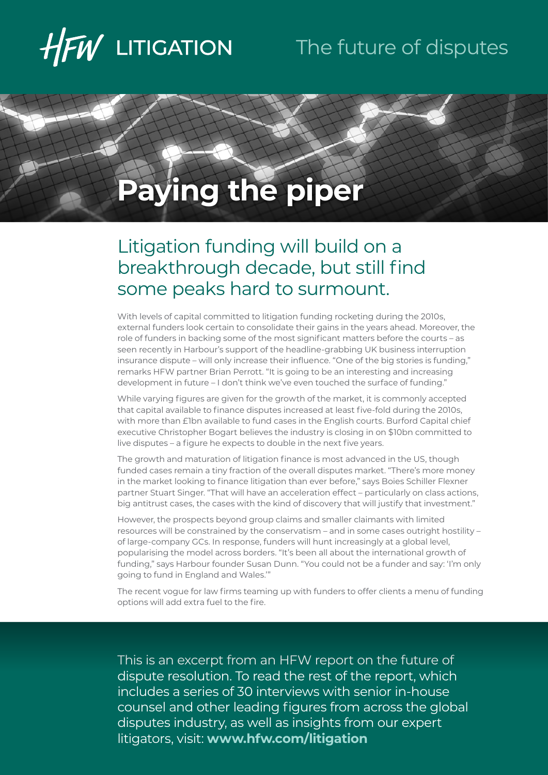

## The future of disputes

# **Paying the piper**

### Litigation funding will build on a breakthrough decade, but still find some peaks hard to surmount.

With levels of capital committed to litigation funding rocketing during the 2010s, external funders look certain to consolidate their gains in the years ahead. Moreover, the role of funders in backing some of the most significant matters before the courts – as seen recently in Harbour's support of the headline-grabbing UK business interruption insurance dispute – will only increase their influence. "One of the big stories is funding," remarks HFW partner Brian Perrott. "It is going to be an interesting and increasing development in future – I don't think we've even touched the surface of funding."

While varying figures are given for the growth of the market, it is commonly accepted that capital available to finance disputes increased at least five-fold during the 2010s, with more than £1bn available to fund cases in the English courts. Burford Capital chief executive Christopher Bogart believes the industry is closing in on \$10bn committed to live disputes – a figure he expects to double in the next five years.

The growth and maturation of litigation finance is most advanced in the US, though funded cases remain a tiny fraction of the overall disputes market. "There's more money in the market looking to finance litigation than ever before," says Boies Schiller Flexner partner Stuart Singer. "That will have an acceleration effect – particularly on class actions, big antitrust cases, the cases with the kind of discovery that will justify that investment."

However, the prospects beyond group claims and smaller claimants with limited resources will be constrained by the conservatism – and in some cases outright hostility – of large-company GCs. In response, funders will hunt increasingly at a global level, popularising the model across borders. "It's been all about the international growth of funding," says Harbour founder Susan Dunn. "You could not be a funder and say: 'I'm only going to fund in England and Wales.'"

The recent vogue for law firms teaming up with funders to offer clients a menu of funding options will add extra fuel to the fire.

This is an excerpt from an HFW report on the future of dispute resolution. To read the rest of the report, which includes a series of 30 interviews with senior in-house counsel and other leading figures from across the global disputes industry, as well as insights from our expert litigators, visit: **[www.hfw.com/litigation](http://www.hfw.com/litigation)**